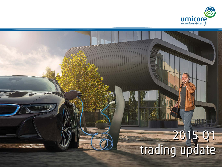

# **THE THE STATE** 2015 Q1 trading update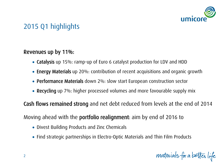

# 2015 Q1 highlights

### Revenues up by 11%:

- Catalysis up 15%: ramp-up of Euro 6 catalyst production for LDV and HDD
- Energy Materials up 20%: contribution of recent acquisitions and organic growth
- Performance Materials down 2%: slow start European construction sector
- Recycling up 7%: higher processed volumes and more favourable supply mix

Cash flows remained strong and net debt reduced from levels at the end of 2014

Moving ahead with the portfolio realignment: aim by end of 2016 to

- Divest Building Products and Zinc Chemicals
- Find strategic partnerships in Electro-Optic Materials and Thin Film Products

materials for a better life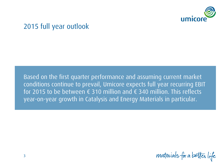

### 2015 full year outlook

Based on the first quarter performance and assuming current market conditions continue to prevail, Umicore expects full year recurring EBIT for 2015 to be between  $\epsilon$  310 million and  $\epsilon$  340 million. This reflects year-on-year growth in Catalysis and Energy Materials in particular.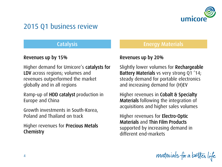

### 2015 Q1 business review

### Revenues up by 15%

Higher demand for Umicore's catalysts for LDV across regions; volumes and revenues outperformed the market globally and in all regions

Ramp-up of HDD catalyst production in Europe and China

Growth investments in South-Korea, Poland and Thailand on track

Higher revenues for Precious Metals **Chemistry** 

### Catalysis Energy Materials

### Revenues up by 20%

Slightly lower volumes for Rechargeable Battery Materials vs very strong Q1 '14; steady demand for portable electronics and increasing demand for (H)EV

Higher revenues in Cobalt & Specialty Materials following the integration of acquisitions and higher sales volumes

Higher revenues for Electro-Optic Materials and Thin Film Products supported by increasing demand in different end-markets

materials for a better life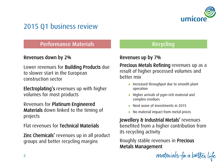

# 2015 Q1 business review

### Performance Materials **Recycling** Recycling

### Revenues down by 2%

Lower revenues for Building Products due to slower start in the European construction sector

Electroplating's revenues up with higher volumes for most products

Revenues for Platinum Engineered Materials down linked to the timing of projects

Flat revenues for Technical Materials

Zinc Chemicals' revenues up in all product groups and better recycling margins

### Revenues up by 7%

Precious Metals Refining revenues up as a result of higher processed volumes and better mix

- Increased throughput due to smooth plant operation
- Higher arrivals of pgm-rich material and complex residues
- Next wave of investments in 2015
- No material impact from metal prices

Jewellery & Industrial Metals' revenues benefited from a higher contribution from its recycling activity

Roughly stable revenues in Precious Metals Management

materials for a better life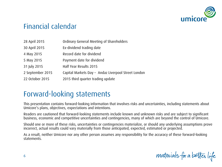

### Financial calendar

| 28 April 2015    | Ordinary General Meeting of Shareholders            |
|------------------|-----------------------------------------------------|
| 30 April 2015    | Ex-dividend trading date                            |
| 4 May 2015       | Record date for dividend                            |
| 5 May 2015       | Payment date for dividend                           |
| 31 July 2015     | Half Year Results 2015                              |
| 2 September 2015 | Capital Markets Day - Andaz Liverpool Street London |
| 22 October 2015  | 2015 third quarter trading update                   |

### Forward-looking statements

This presentation contains forward-looking information that involves risks and uncertainties, including statements about Umicore's plans, objectives, expectations and intentions.

Readers are cautioned that forward-looking statements include known and unknown risks and are subject to significant business, economic and competitive uncertainties and contingencies, many of which are beyond the control of Umicore.

Should one or more of these risks, uncertainties or contingencies materialize, or should any underlying assumptions prove incorrect, actual results could vary materially from those anticipated, expected, estimated or projected.

As a result, neither Umicore nor any other person assumes any responsibility for the accuracy of these forward-looking statements.

materials for a better life